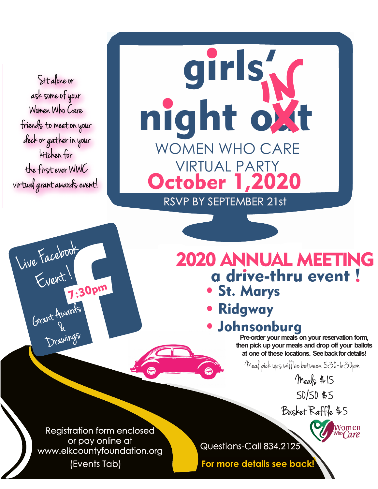Sit alone or ask some of your Women Who Care friends to meet on your deck or gather in your kitchen for the first ever WWC virtual grant awards event!

Live Facebook

Event !

7:30pm

Drawings &

Grant Awards

## night oxt girls'<sub>N</sub> WOMEN WHO CARE VIRTUAL PARTY October 1,2020 RSVP BY SEPTEMBER 21st

## 2020 ANNUAL MEETING • St. Marys a drive-thru event !

- **Ridgway**
- Johnsonburg

**Pre-order your meals on your reservation form, then pick up your meals and drop off your ballots at one of these locations. See back for details!**

Meal pick ups will be between 5:30-6:30pm

Meals \$15 50/50 \$5

Basket Raffle \$5

Women

Registration form enclosed or pay online at or pay oriline are all and a questions-Call 834.2125 (Events Tab)

**For more details see back!**